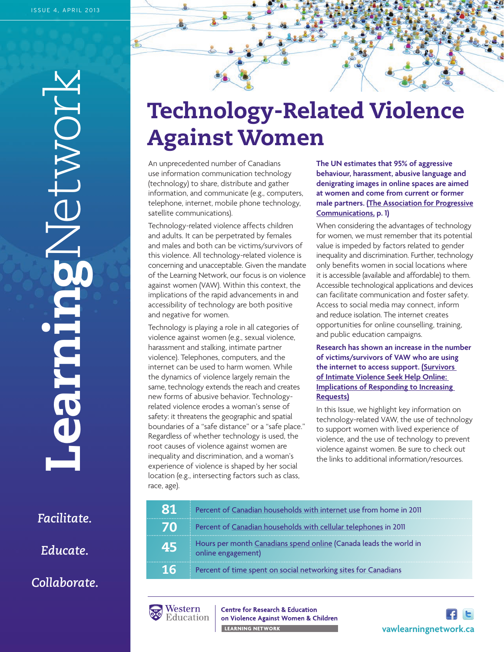**Learning**Network **LIONDE Nearmares** 

*Facilitate.*

*Educate.*

*Collaborate.*

# **Technology-Related Violence Against Women**

An unprecedented number of Canadians use information communication technology (technology) to share, distribute and gather information, and communicate (e.g., computers, telephone, internet, mobile phone technology, satellite communications).

Technology-related violence affects children and adults. It can be perpetrated by females and males and both can be victims/survivors of this violence. All technology-related violence is concerning and unacceptable. Given the mandate of the Learning Network, our focus is on violence against women (VAW). Within this context, the implications of the rapid advancements in and accessibility of technology are both positive and negative for women.

Technology is playing a role in all categories of violence against women (e.g., sexual violence, harassment and stalking, intimate partner violence). Telephones, computers, and the internet can be used to harm women. While the dynamics of violence largely remain the same, technology extends the reach and creates new forms of abusive behavior. Technologyrelated violence erodes a woman's sense of safety: it threatens the geographic and spatial boundaries of a "safe distance" or a "safe place." Regardless of whether technology is used, the root causes of violence against women are inequality and discrimination, and a woman's experience of violence is shaped by her social location (e.g., intersecting factors such as class, race, age).

**The UN estimates that 95% of aggressive behaviour, harassment, abusive language and denigrating images in online spaces are aimed at women and come from current or former [male partners. \(The Association for Progressive](www.apc.org/en/node/11452) Communications, p. 1)** 

When considering the advantages of technology for women, we must remember that its potential value is impeded by factors related to gender inequality and discrimination. Further, technology only benefits women in social locations where it is accessible (available and affordable) to them. Accessible technological applications and devices can facilitate communication and foster safety. Access to social media may connect, inform and reduce isolation. The internet creates opportunities for online counselling, training, and public education campaigns.

**Research has shown an increase in the number of victims/survivors of VAW who are using the internet to access support. (Survivors of Intimate Violence Seek Help Online: [Implications of Responding to Increasing](www.mincava.umn.edu/documents/10vawpaper/10vawpaper.html)  Requests)**

In this Issue, we highlight key information on technology-related VAW, the use of technology to support women with lived experience of violence, and the use of technology to prevent violence against women. Be sure to check out the links to additional information/resources.

| -81             | Percent of Canadian households with internet use from home in 2011                      |
|-----------------|-----------------------------------------------------------------------------------------|
| 70              | Percent of Canadian households with cellular telephones in 2011                         |
| 45              | Hours per month Canadians spend online (Canada leads the world in<br>online engagement) |
| 16 <sup>1</sup> | Percent of time spent on social networking sites for Canadians                          |



**Centre for Research & Education** on Violence Against Women & Children LEARNING NETWORK **And Contact Structure Contact Structure**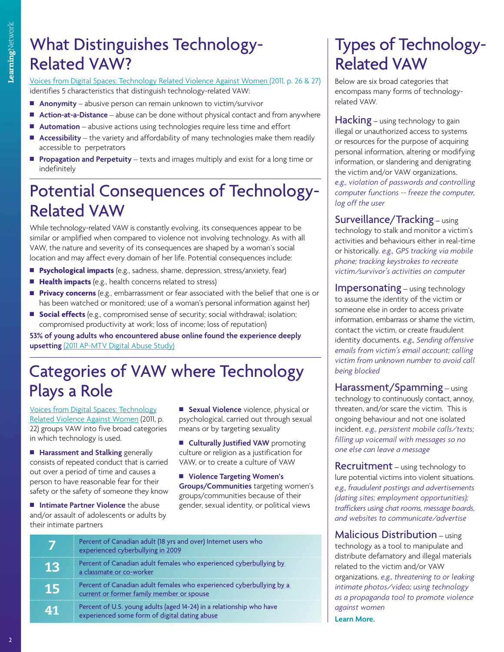## What Distinguishes Technology-Related VAW?

[Voices from Digital Spaces: Technology Related Violence Against Women \(2011, p. 26 & 27\)](www.apc.org/en/pubs/voices-digital-spaces-technology-related-violence-0) identifies 5 characteristics that distinguish technology-related VAW:

- **Anonymity** abusive person can remain unknown to victim/survivor
- Action-at-a-Distance abuse can be done without physical contact and from anywhere
- Automation abusive actions using technologies require less time and effort
- Accessibility the variety and affordability of many technologies make them readily accessible to perpetrators
- **Propagation and Perpetuity** texts and images multiply and exist for a long time or indefinitely

## Potential Consequences of Technology-Related VAW

While technology-related VAW is constantly evolving, its consequences appear to be similar or amplified when compared to violence not involving technology. As with all VAW, the nature and severity of its consequences are shaped by a woman's social location and may affect every domain of her life. Potential consequences include:

- **Psychological impacts** (e.g., sadness, shame, depression, stress/anxiety, fear)
- **Health impacts** (e.g., health concerns related to stress)
- **Privacy concerns** (e.g., embarrassment or fear associated with the belief that one is or has been watched or monitored; use of a woman's personal information against her)
- **s Social effects** (e.g., compromised sense of security; social withdrawal; isolation; compromised productivity at work; loss of income; loss of reputation)

**53% of young adults who encountered abuse online found the experience deeply upsetting** [\(2011 AP-MTV Digital Abuse Study\)](www.athinline.org/pdfs/MTV-AP_2011_Research_Study-Exec_Summary.pdf)

### Categories of VAW where Technology Plays a Role

[Voices from Digital Spaces: Technology](www.apc.org/en/pubs/voices-digital-spaces-technology-related-violence-0) Related Violence Against Women (2011, p. 22) groups VAW into five broad categories in which technology is used.

**Harassment and Stalking** generally consists of repeated conduct that is carried out over a period of time and causes a person to have reasonable fear for their safety or the safety of someone they know

 $\blacksquare$  **Intimate Partner Violence** the abuse and/or assault of adolescents or adults by their intimate partners

**E** Sexual Violence violence, physical or psychological, carried out through sexual means or by targeting sexuality

**n** Culturally Justified VAW promoting culture or religion as a justification for VAW, or to create a culture of VAW

■ Violence Targeting Women's **Groups/Communities** targeting women's groups/communities because of their gender, sexual identity, or political views

|     | Percent of Canadian adult (18 yrs and over) Internet users who<br>experienced cyberbullying in 2009                   |
|-----|-----------------------------------------------------------------------------------------------------------------------|
| VEL | Percent of Canadian adult females who experienced cyberbullying by<br>a classmate or co-worker                        |
| 15  | Percent of Canadian adult females who experienced cyberbullying by a<br>current or former family member or spouse     |
| 41  | Percent of U.S. young adults (aged 14-24) in a relationship who have<br>experienced some form of digital dating abuse |

## Types of Technology-Related VAW

Below are six broad categories that encompass many forms of technologyrelated VAW.

Hacking – using technology to gain illegal or unauthorized access to systems or resources for the purpose of acquiring personal information, altering or modifying information, or slandering and denigrating the victim and/or VAW organizations. *e.g., violation of passwords and controlling computer functions -- freeze the computer, log off the user*

Surveillance/Tracking – using technology to stalk and monitor a victim's activities and behaviours either in real-time or historically. *e.g., GPS tracking via mobile phone; tracking keystrokes to recreate victim/survivor's activities on computer*

Impersonating – using technology to assume the identity of the victim or someone else in order to access private information, embarrass or shame the victim, contact the victim, or create fraudulent identity documents. *e.g., Sending offensive emails from victim's email account; calling victim from unknown number to avoid call being blocked*

Harassment/Spamming – using technology to continuously contact, annoy, threaten, and/or scare the victim. This is ongoing behaviour and not one isolated incident. *e.g., persistent mobile calls/texts; filling up voicemail with messages so no one else can leave a message*

**Recruitment** – using technology to lure potential victims into violent situations. *e.g., fraudulent postings and advertisements (dating sites; employment opportunities); traffickers using chat rooms, message boards, and websites to communicate/advertise*

Malicious Distribution – using technology as a tool to manipulate and distribute defamatory and illegal materials related to the victim and/or VAW organizations. *e.g., threatening to or leaking intimate photos/video; using technology as a propaganda tool to promote violence against women*

**[Learn More.](www.learningtoendabuse.ca/sites/default/files/Baker_Campbell_Barreto_Categories_Technology-Related_VAW_.pdf)**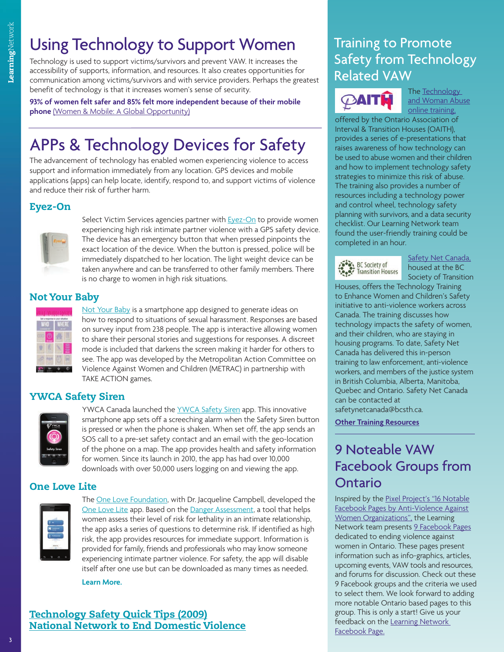## Using Technology to Support Women

Technology is used to support victims/survivors and prevent VAW. It increases the accessibility of supports, information, and resources. It also creates opportunities for communication among victims/survivors and with service providers. Perhaps the greatest benefit of technology is that it increases women's sense of security.

**93% of women felt safer and 85% felt more independent because of their mobile phone** [\(Women & Mobile: A Global Opportunity\)](www.gsma.com/mobilefordevelopment/gsma-women-mobile-a-global-opportunity)

## APPs & Technology Devices for Safety

The advancement of technology has enabled women experiencing violence to access support and information immediately from any location. GPS devices and mobile applications (apps) can help locate, identify, respond to, and support victims of violence and reduce their risk of further harm.

#### **Eyez-On**



Select Victim Services agencies partner with **Eyez-On** to provide women experiencing high risk intimate partner violence with a GPS safety device. The device has an emergency button that when pressed pinpoints the exact location of the device. When the button is pressed, police will be immediately dispatched to her location. The light weight device can be taken anywhere and can be transferred to other family members. There is no charge to women in high risk situations.

#### **Not Your Baby**

[Not Your Baby](https://itunes.apple.com/ca/app/not-your-baby/id545191859?mt=8) is a smartphone app designed to generate ideas on how to respond to situations of sexual harassment. Responses are based on survey input from 238 people. The app is interactive allowing women to share their personal stories and suggestions for responses. A discreet mode is included that darkens the screen making it harder for others to see. The app was developed by the Metropolitan Action Committee on Violence Against Women and Children (METRAC) in partnership with TAKE ACTION games.

#### **YWCA Safety Siren**



YWCA Canada launched the YWCA Safety Siren app. This innovative smartphone app sets off a [screeching alarm when th](http://ywcacanada.ca/en/pages/mall/apps)e Safety Siren button is pressed or when the phone is shaken. When set off, the app sends an SOS call to a pre-set safety contact and an email with the geo-location of the phone on a map. The app provides health and safety information for women. Since its launch in 2010, the app has had over 10,000 downloads with over 50,000 users logging on and viewing the app.

#### **One Love Lite**



Th[e One Love Foundation, w](www.joinonelove.org/be1forchange)ith Dr. Jacqueline Campbell, developed the [One Love Lite](https://play.google.com/store/apps/details?id=org.joinonelove.onelovelite) app. Based on th[e Danger Assessment, a](www.dangerassessment.org/) tool that helps women assess their level of risk for lethality in an intimate relationship, the app asks a series of questions to determine risk. If identified as high risk, the app provides resources for immediate support. Information is provided for family, friends and professionals who may know someone experiencing intimate partner violence. For safety, the app will disable itself after one use but can be downloaded as many times as needed.



#### **Technology Safety Quick Tips (2009) [National Network to End Domestic Violence](http://nnedv.org/docs/SafetyNet/OVW/NNEDV_TechSafetyQuickTipsChart_2011.pdf)**

### Training to Promote Safety from Technology Related VAW



The Technology [and Woman Abuse](www.oaith.ca/news/training-news.html/2012/06/26/new-e-workshop!-technology-and-vaw-series/) online training,

offered by the Ontario Association of Interval & Transition Houses (OAITH), provides a series of e-presentations that raises awareness of how technology can be used to abuse women and their children and how to implement technology safety strategies to minimize this risk of abuse. The training also provides a number of resources including a technology power and control wheel, technology safety planning with survivors, and a data security checklist. Our Learning Network team found the user-friendly training could be completed in an hour.

BC Society of

Safety Net Canada, housed at the BC [Society of Transition](http://bcsth.ca/safetynetcanada)

Houses, offers the Technology Training to Enhance Women and Children's Safety initiative to anti-violence workers across Canada. The training discusses how technology impacts the safety of women, and their children, who are staying in housing programs. To date, Safety Net Canada has delivered this in-person training to law enforcement, anti-violence workers, and members of the justice system in British Columbia, Alberta, Manitoba, Quebec and Ontario. Safety Net Canada can be contacted at safetynetcanada@bcsth.ca.

**[Other Training Resources](www.learningtoendabuse.ca/sites/default/files/Online_Training_Promote_Safety.pdf)**

### 9 Noteable VAW Facebook Groups from Ontario

[Inspired by the Pixel Project's "16 Notable](www.learningtoendabuse.ca/sites/default/files/Pixel_Project.pdf) Facebook Pages by Anti-Violence Against Women Organizations", the Learning Network team presen[ts 9 Facebook Pages](www.learningtoendabuse.ca/sites/default/files/9_Notable_Facebook_Pages.pdf) dedicated to ending violence against women in Ontario. These pages present information such as info-graphics, articles, upcoming events, VAW tools and resources, and forums for discussion. Check out these 9 Facebook groups and the criteria we used to select them. We look forward to adding more notable Ontario based pages to this group. This is only a start! Give us your [feedback on the Learning Network](www.facebook.com/TheLearningNetwork)  Facebook Page.